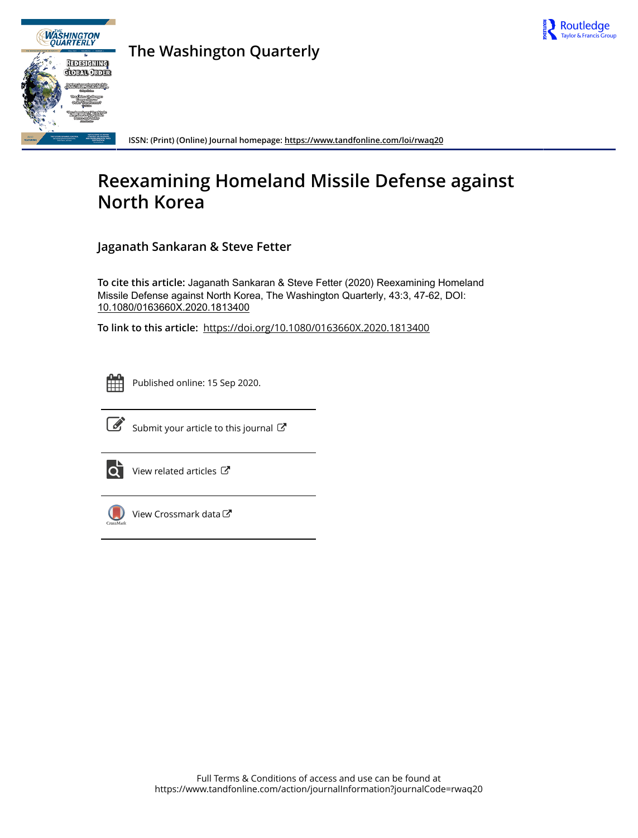



**The Washington Quarterly**

**ISSN: (Print) (Online) Journal homepage:<https://www.tandfonline.com/loi/rwaq20>**

# **Reexamining Homeland Missile Defense against North Korea**

**Jaganath Sankaran & Steve Fetter**

**To cite this article:** Jaganath Sankaran & Steve Fetter (2020) Reexamining Homeland Missile Defense against North Korea, The Washington Quarterly, 43:3, 47-62, DOI: [10.1080/0163660X.2020.1813400](https://www.tandfonline.com/action/showCitFormats?doi=10.1080/0163660X.2020.1813400)

**To link to this article:** <https://doi.org/10.1080/0163660X.2020.1813400>



Published online: 15 Sep 2020.



 $\overrightarrow{S}$  [Submit your article to this journal](https://www.tandfonline.com/action/authorSubmission?journalCode=rwaq20&show=instructions)  $\overrightarrow{S}$ 



[View related articles](https://www.tandfonline.com/doi/mlt/10.1080/0163660X.2020.1813400)  $\mathbb{Z}$ 



[View Crossmark data](http://crossmark.crossref.org/dialog/?doi=10.1080/0163660X.2020.1813400&domain=pdf&date_stamp=2020-09-15)<sup>C</sup>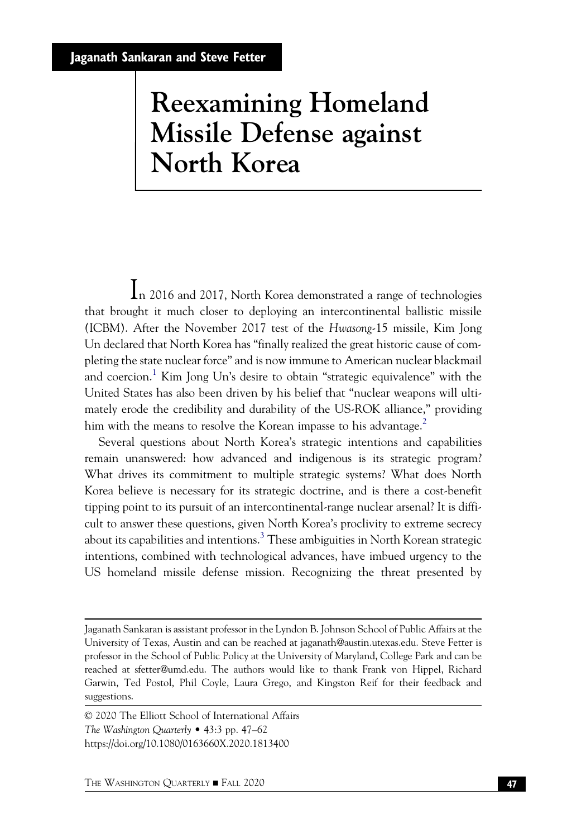# Reexamining Homeland Missile Defense against North Korea

In 2016 and 2017, North Korea demonstrated a range of technologies that brought it much closer to deploying an intercontinental ballistic missile (ICBM). After the November 2017 test of the Hwasong-15 missile, Kim Jong Un declared that North Korea has "finally realized the great historic cause of completing the state nuclear force" and is now immune to American nuclear blackmail and coercion.<sup>1</sup> Kim Jong Un's desire to obtain "strategic equivalence" with the United States has also been driven by his belief that "nuclear weapons will ultimately erode the credibility and durability of the US-ROK alliance," providing him with the means to resolve the Korean impasse to his advantage.<sup>2</sup>

Several questions about North Korea's strategic intentions and capabilities remain unanswered: how advanced and indigenous is its strategic program? What drives its commitment to multiple strategic systems? What does North Korea believe is necessary for its strategic doctrine, and is there a cost-benefit tipping point to its pursuit of an intercontinental-range nuclear arsenal? It is difficult to answer these questions, given North Korea's proclivity to extreme secrecy about its capabilities and intentions.<sup>[3](#page-12-0)</sup> These ambiguities in North Korean strategic intentions, combined with technological advances, have imbued urgency to the US homeland missile defense mission. Recognizing the threat presented by

© 2020 The Elliott School of International Affairs The Washington Quarterly • 43:3 pp. 47–62 https://doi.org/10.1080/0163660X.2020.1813400

Jaganath Sankaran is assistant professor in the Lyndon B. Johnson School of Public Affairs at the University of Texas, Austin and can be reached at [jaganath@austin.utexas.edu.](mailto:jaganath@austin.utexas.edu) Steve Fetter is professor in the School of Public Policy at the University of Maryland, College Park and can be reached at [sfetter@umd.edu.](mailto:sfetter@umd.edu) The authors would like to thank Frank von Hippel, Richard Garwin, Ted Postol, Phil Coyle, Laura Grego, and Kingston Reif for their feedback and suggestions.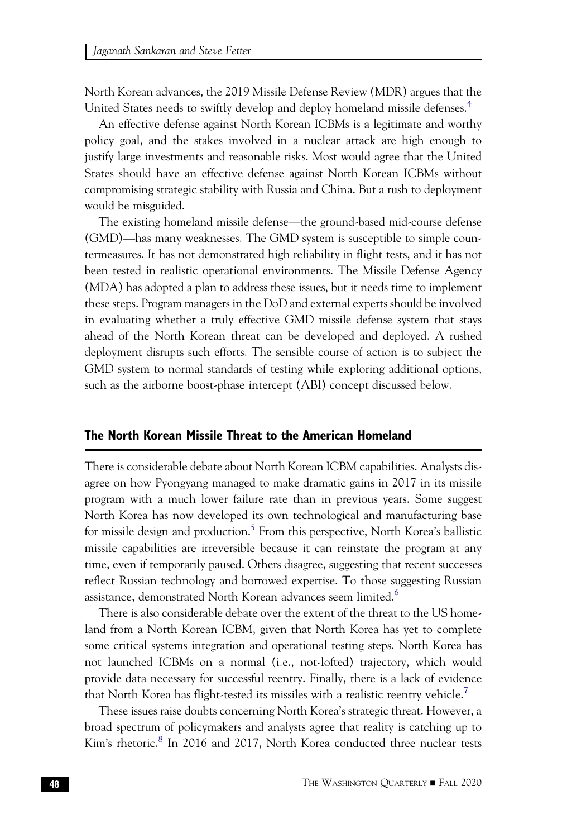North Korean advances, the 2019 Missile Defense Review (MDR) argues that the United States needs to swiftly develop and deploy homeland missile defenses.<sup>[4](#page-12-0)</sup>

An effective defense against North Korean ICBMs is a legitimate and worthy policy goal, and the stakes involved in a nuclear attack are high enough to justify large investments and reasonable risks. Most would agree that the United States should have an effective defense against North Korean ICBMs without compromising strategic stability with Russia and China. But a rush to deployment would be misguided.

The existing homeland missile defense—the ground-based mid-course defense (GMD)—has many weaknesses. The GMD system is susceptible to simple countermeasures. It has not demonstrated high reliability in flight tests, and it has not been tested in realistic operational environments. The Missile Defense Agency (MDA) has adopted a plan to address these issues, but it needs time to implement these steps. Program managers in the DoD and external experts should be involved in evaluating whether a truly effective GMD missile defense system that stays ahead of the North Korean threat can be developed and deployed. A rushed deployment disrupts such efforts. The sensible course of action is to subject the GMD system to normal standards of testing while exploring additional options, such as the airborne boost-phase intercept (ABI) concept discussed below.

# The North Korean Missile Threat to the American Homeland

There is considerable debate about North Korean ICBM capabilities. Analysts disagree on how Pyongyang managed to make dramatic gains in 2017 in its missile program with a much lower failure rate than in previous years. Some suggest North Korea has now developed its own technological and manufacturing base for missile design and production.<sup>[5](#page-12-0)</sup> From this perspective, North Korea's ballistic missile capabilities are irreversible because it can reinstate the program at any time, even if temporarily paused. Others disagree, suggesting that recent successes reflect Russian technology and borrowed expertise. To those suggesting Russian assistance, demonstrated North Korean advances seem limited.<sup>6</sup>

There is also considerable debate over the extent of the threat to the US homeland from a North Korean ICBM, given that North Korea has yet to complete some critical systems integration and operational testing steps. North Korea has not launched ICBMs on a normal (i.e., not-lofted) trajectory, which would provide data necessary for successful reentry. Finally, there is a lack of evidence that North Korea has flight-tested its missiles with a realistic reentry vehicle.<sup>[7](#page-12-0)</sup>

These issues raise doubts concerning North Korea's strategic threat. However, a broad spectrum of policymakers and analysts agree that reality is catching up to Kim's rhetoric.<sup>8</sup> In 2016 and 2017, North Korea conducted three nuclear tests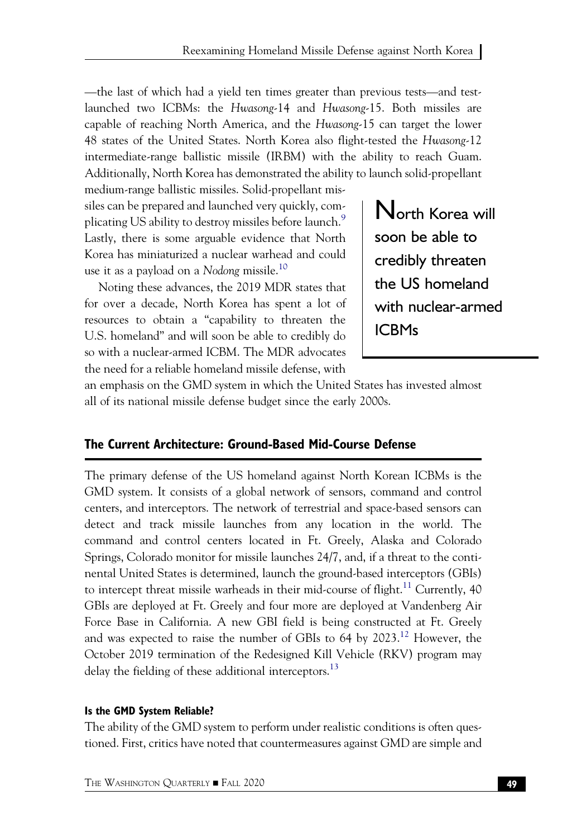—the last of which had a yield ten times greater than previous tests—and testlaunched two ICBMs: the Hwasong-14 and Hwasong-15. Both missiles are capable of reaching North America, and the Hwasong-15 can target the lower 48 states of the United States. North Korea also flight-tested the Hwasong-12 intermediate-range ballistic missile (IRBM) with the ability to reach Guam. Additionally, North Korea has demonstrated the ability to launch solid-propellant

medium-range ballistic missiles. Solid-propellant missiles can be prepared and launched very quickly, complicating US ability to destroy missiles before launch.<sup>9</sup> Lastly, there is some arguable evidence that North Korea has miniaturized a nuclear warhead and could use it as a payload on a Nodong missile.<sup>[10](#page-12-0)</sup>

Noting these advances, the 2019 MDR states that for over a decade, North Korea has spent a lot of resources to obtain a "capability to threaten the U.S. homeland" and will soon be able to credibly do so with a nuclear-armed ICBM. The MDR advocates the need for a reliable homeland missile defense, with

North Korea will soon be able to credibly threaten the US homeland with nuclear-armed ICBMs

an emphasis on the GMD system in which the United States has invested almost all of its national missile defense budget since the early 2000s.

# The Current Architecture: Ground-Based Mid-Course Defense

The primary defense of the US homeland against North Korean ICBMs is the GMD system. It consists of a global network of sensors, command and control centers, and interceptors. The network of terrestrial and space-based sensors can detect and track missile launches from any location in the world. The command and control centers located in Ft. Greely, Alaska and Colorado Springs, Colorado monitor for missile launches 24/7, and, if a threat to the continental United States is determined, launch the ground-based interceptors (GBIs) to intercept threat missile warheads in their mid-course of flight.<sup>11</sup> Currently, 40 GBIs are deployed at Ft. Greely and four more are deployed at Vandenberg Air Force Base in California. A new GBI field is being constructed at Ft. Greely and was expected to raise the number of GBIs to  $64$  by  $2023$ .<sup>12</sup> However, the October 2019 termination of the Redesigned Kill Vehicle (RKV) program may delay the fielding of these additional interceptors.<sup>[13](#page-12-0)</sup>

# Is the GMD System Reliable?

The ability of the GMD system to perform under realistic conditions is often questioned. First, critics have noted that countermeasures against GMD are simple and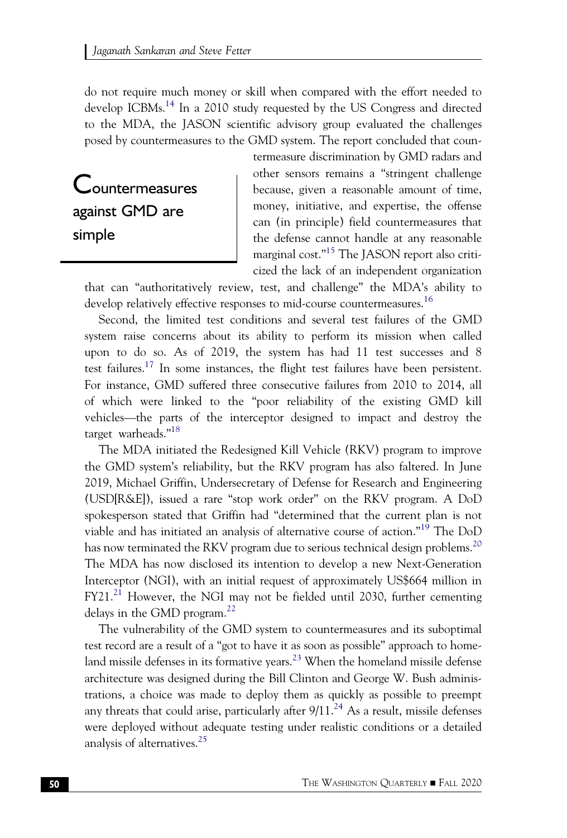do not require much money or skill when compared with the effort needed to develop ICBMs[.14](#page-12-0) In a 2010 study requested by the US Congress and directed to the MDA, the JASON scientific advisory group evaluated the challenges posed by countermeasures to the GMD system. The report concluded that coun-

**Countermeasures** against GMD are simple

termeasure discrimination by GMD radars and other sensors remains a "stringent challenge because, given a reasonable amount of time, money, initiative, and expertise, the offense can (in principle) field countermeasures that the defense cannot handle at any reasonable marginal cost." [15](#page-12-0) The JASON report also criticized the lack of an independent organization

that can "authoritatively review, test, and challenge" the MDA's ability to develop relatively effective responses to mid-course countermeasures.<sup>[16](#page-12-0)</sup>

Second, the limited test conditions and several test failures of the GMD system raise concerns about its ability to perform its mission when called upon to do so. As of 2019, the system has had 11 test successes and 8 test failures.<sup>[17](#page-12-0)</sup> In some instances, the flight test failures have been persistent. For instance, GMD suffered three consecutive failures from 2010 to 2014, all of which were linked to the "poor reliability of the existing GMD kill vehicles—the parts of the interceptor designed to impact and destroy the target warheads."<sup>[18](#page-12-0)</sup>

The MDA initiated the Redesigned Kill Vehicle (RKV) program to improve the GMD system's reliability, but the RKV program has also faltered. In June 2019, Michael Griffin, Undersecretary of Defense for Research and Engineering (USD[R&E]), issued a rare "stop work order" on the RKV program. A DoD spokesperson stated that Griffin had "determined that the current plan is not viable and has initiated an analysis of alternative course of action." [19](#page-12-0) The DoD has now terminated the RKV program due to serious technical design problems.<sup>20</sup> The MDA has now disclosed its intention to develop a new Next-Generation Interceptor (NGI), with an initial request of approximately US\$664 million in FY21.<sup>21</sup> However, the NGI may not be fielded until 2030, further cementing delays in the GMD program.<sup>[22](#page-13-0)</sup>

The vulnerability of the GMD system to countermeasures and its suboptimal test record are a result of a "got to have it as soon as possible" approach to homeland missile defenses in its formative years. $^{23}$  When the homeland missile defense architecture was designed during the Bill Clinton and George W. Bush administrations, a choice was made to deploy them as quickly as possible to preempt any threats that could arise, particularly after  $9/11.^{24}$  As a result, missile defenses were deployed without adequate testing under realistic conditions or a detailed analysis of alternatives.<sup>25</sup>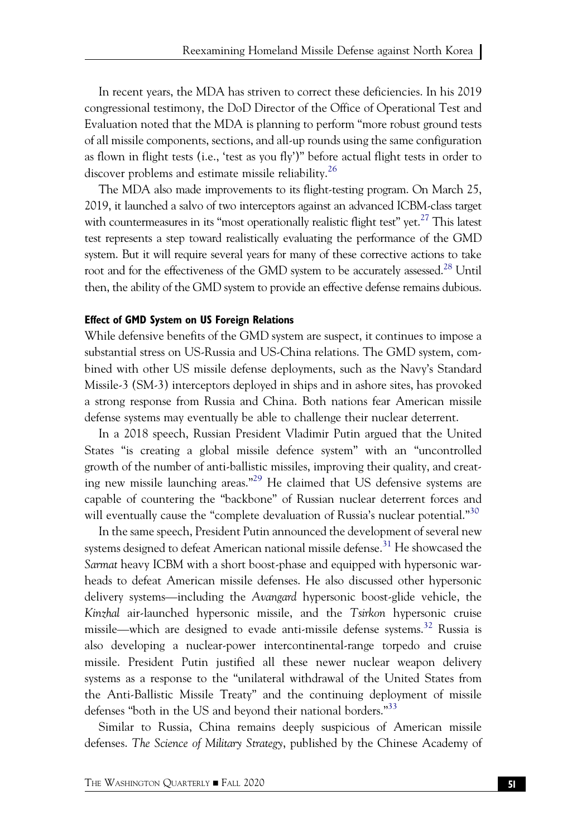In recent years, the MDA has striven to correct these deficiencies. In his 2019 congressional testimony, the DoD Director of the Office of Operational Test and Evaluation noted that the MDA is planning to perform "more robust ground tests of all missile components, sections, and all-up rounds using the same configuration as flown in flight tests (i.e., 'test as you fly')" before actual flight tests in order to discover problems and estimate missile reliability.<sup>[26](#page-13-0)</sup>

The MDA also made improvements to its flight-testing program. On March 25, 2019, it launched a salvo of two interceptors against an advanced ICBM-class target with countermeasures in its "most operationally realistic flight test" yet.<sup>[27](#page-13-0)</sup> This latest test represents a step toward realistically evaluating the performance of the GMD system. But it will require several years for many of these corrective actions to take root and for the effectiveness of the GMD system to be accurately assessed.<sup>28</sup> Until then, the ability of the GMD system to provide an effective defense remains dubious.

#### Effect of GMD System on US Foreign Relations

While defensive benefits of the GMD system are suspect, it continues to impose a substantial stress on US-Russia and US-China relations. The GMD system, combined with other US missile defense deployments, such as the Navy's Standard Missile-3 (SM-3) interceptors deployed in ships and in ashore sites, has provoked a strong response from Russia and China. Both nations fear American missile defense systems may eventually be able to challenge their nuclear deterrent.

In a 2018 speech, Russian President Vladimir Putin argued that the United States "is creating a global missile defence system" with an "uncontrolled growth of the number of anti-ballistic missiles, improving their quality, and creating new missile launching areas." [29](#page-13-0) He claimed that US defensive systems are capable of countering the "backbone" of Russian nuclear deterrent forces and will eventually cause the "complete devaluation of Russia's nuclear potential."<sup>[30](#page-13-0)</sup>

In the same speech, President Putin announced the development of several new systems designed to defeat American national missile defense.<sup>31</sup> He showcased the Sarmat heavy ICBM with a short boost-phase and equipped with hypersonic warheads to defeat American missile defenses. He also discussed other hypersonic delivery systems—including the Avangard hypersonic boost-glide vehicle, the Kinzhal air-launched hypersonic missile, and the Tsirkon hypersonic cruise missile—which are designed to evade anti-missile defense systems.<sup>[32](#page-13-0)</sup> Russia is also developing a nuclear-power intercontinental-range torpedo and cruise missile. President Putin justified all these newer nuclear weapon delivery systems as a response to the "unilateral withdrawal of the United States from the Anti-Ballistic Missile Treaty" and the continuing deployment of missile defenses "both in the US and beyond their national borders."<sup>[33](#page-13-0)</sup>

Similar to Russia, China remains deeply suspicious of American missile defenses. The Science of Military Strategy, published by the Chinese Academy of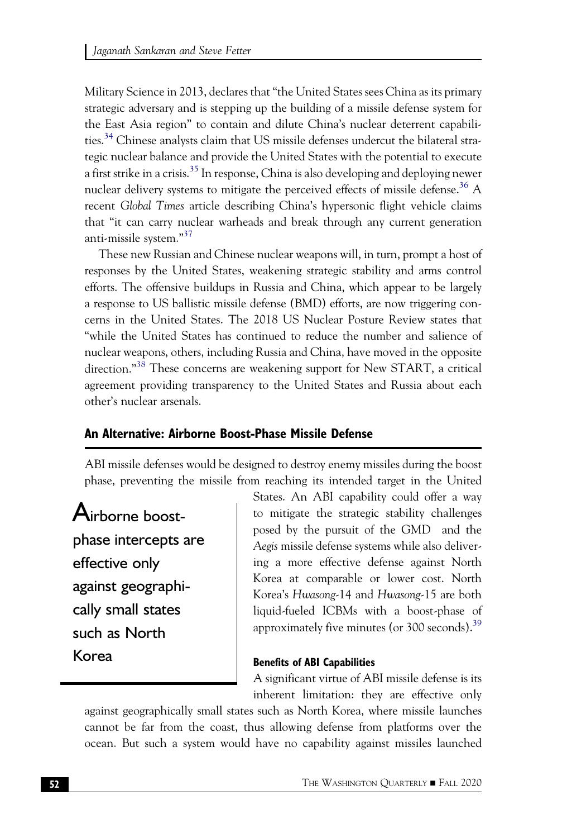Military Science in 2013, declares that "the United States sees China as its primary strategic adversary and is stepping up the building of a missile defense system for the East Asia region" to contain and dilute China's nuclear deterrent capabilities.[34](#page-13-0) Chinese analysts claim that US missile defenses undercut the bilateral strategic nuclear balance and provide the United States with the potential to execute a first strike in a crisis.<sup>35</sup> In response, China is also developing and deploying newer nuclear delivery systems to mitigate the perceived effects of missile defense.<sup>36</sup> A recent Global Times article describing China's hypersonic flight vehicle claims that "it can carry nuclear warheads and break through any current generation anti-missile system." [37](#page-14-0)

These new Russian and Chinese nuclear weapons will, in turn, prompt a host of responses by the United States, weakening strategic stability and arms control efforts. The offensive buildups in Russia and China, which appear to be largely a response to US ballistic missile defense (BMD) efforts, are now triggering concerns in the United States. The 2018 US Nuclear Posture Review states that "while the United States has continued to reduce the number and salience of nuclear weapons, others, including Russia and China, have moved in the opposite direction."<sup>[38](#page-14-0)</sup> These concerns are weakening support for New START, a critical agreement providing transparency to the United States and Russia about each other's nuclear arsenals.

# An Alternative: Airborne Boost-Phase Missile Defense

ABI missile defenses would be designed to destroy enemy missiles during the boost phase, preventing the missile from reaching its intended target in the United

Airborne boostphase intercepts are effective only against geographically small states such as North Korea

States. An ABI capability could offer a way to mitigate the strategic stability challenges posed by the pursuit of the GMD and the Aegis missile defense systems while also delivering a more effective defense against North Korea at comparable or lower cost. North Korea's Hwasong-14 and Hwasong-15 are both liquid-fueled ICBMs with a boost-phase of approximately five minutes (or  $300$  seconds).<sup>39</sup>

#### Benefits of ABI Capabilities

A significant virtue of ABI missile defense is its inherent limitation: they are effective only

against geographically small states such as North Korea, where missile launches cannot be far from the coast, thus allowing defense from platforms over the ocean. But such a system would have no capability against missiles launched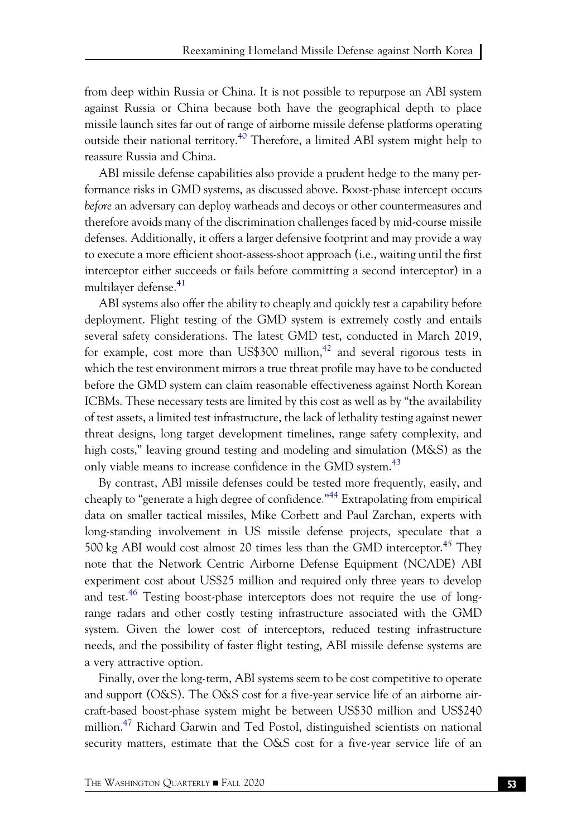from deep within Russia or China. It is not possible to repurpose an ABI system against Russia or China because both have the geographical depth to place missile launch sites far out of range of airborne missile defense platforms operating outside their national territory.<sup>40</sup> Therefore, a limited ABI system might help to reassure Russia and China.

ABI missile defense capabilities also provide a prudent hedge to the many performance risks in GMD systems, as discussed above. Boost-phase intercept occurs before an adversary can deploy warheads and decoys or other countermeasures and therefore avoids many of the discrimination challenges faced by mid-course missile defenses. Additionally, it offers a larger defensive footprint and may provide a way to execute a more efficient shoot-assess-shoot approach (i.e., waiting until the first interceptor either succeeds or fails before committing a second interceptor) in a multilayer defense.<sup>[41](#page-14-0)</sup>

ABI systems also offer the ability to cheaply and quickly test a capability before deployment. Flight testing of the GMD system is extremely costly and entails several safety considerations. The latest GMD test, conducted in March 2019, for example, cost more than US\$300 million, $42$  and several rigorous tests in which the test environment mirrors a true threat profile may have to be conducted before the GMD system can claim reasonable effectiveness against North Korean ICBMs. These necessary tests are limited by this cost as well as by "the availability of test assets, a limited test infrastructure, the lack of lethality testing against newer threat designs, long target development timelines, range safety complexity, and high costs," leaving ground testing and modeling and simulation (M&S) as the only viable means to increase confidence in the GMD system.<sup>[43](#page-14-0)</sup>

By contrast, ABI missile defenses could be tested more frequently, easily, and cheaply to "generate a high degree of confidence." [44](#page-14-0) Extrapolating from empirical data on smaller tactical missiles, Mike Corbett and Paul Zarchan, experts with long-standing involvement in US missile defense projects, speculate that a 500 kg ABI would cost almost 20 times less than the GMD interceptor.<sup>45</sup> They note that the Network Centric Airborne Defense Equipment (NCADE) ABI experiment cost about US\$25 million and required only three years to develop and test.<sup>46</sup> Testing boost-phase interceptors does not require the use of longrange radars and other costly testing infrastructure associated with the GMD system. Given the lower cost of interceptors, reduced testing infrastructure needs, and the possibility of faster flight testing, ABI missile defense systems are a very attractive option.

Finally, over the long-term, ABI systems seem to be cost competitive to operate and support (O&S). The O&S cost for a five-year service life of an airborne aircraft-based boost-phase system might be between US\$30 million and US\$240 million.[47](#page-14-0) Richard Garwin and Ted Postol, distinguished scientists on national security matters, estimate that the O&S cost for a five-year service life of an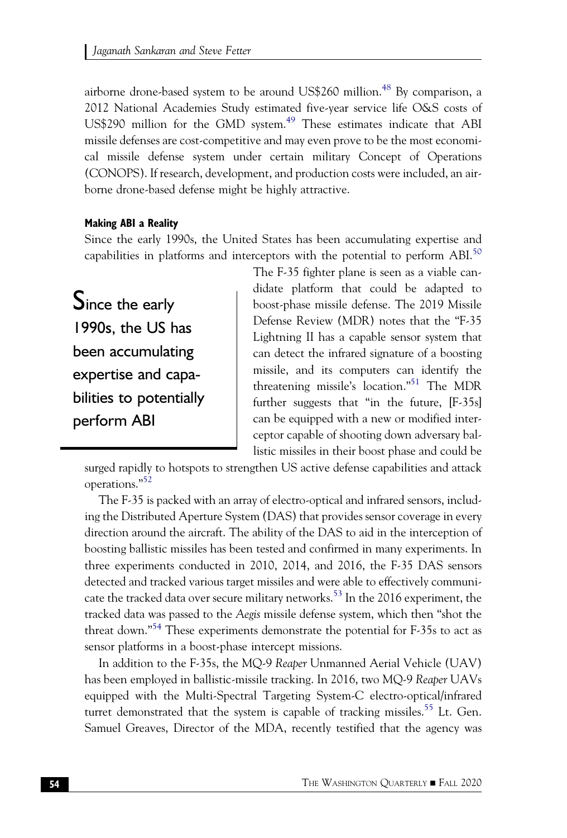airborne drone-based system to be around US\$260 million.<sup>48</sup> By comparison, a 2012 National Academies Study estimated five-year service life O&S costs of US\$290 million for the GMD system.<sup>49</sup> These estimates indicate that ABI missile defenses are cost-competitive and may even prove to be the most economical missile defense system under certain military Concept of Operations (CONOPS). If research, development, and production costs were included, an airborne drone-based defense might be highly attractive.

#### Making ABI a Reality

Since the early 1990s, the United States has been accumulating expertise and capabilities in platforms and interceptors with the potential to perform ABI.<sup>50</sup>

Since the early 1990s, the US has been accumulating expertise and capabilities to potentially perform ABI

The F-35 fighter plane is seen as a viable candidate platform that could be adapted to boost-phase missile defense. The 2019 Missile Defense Review (MDR) notes that the "F-35 Lightning II has a capable sensor system that can detect the infrared signature of a boosting missile, and its computers can identify the threatening missile's location."<sup>[51](#page-15-0)</sup> The MDR further suggests that "in the future, [F-35s] can be equipped with a new or modified interceptor capable of shooting down adversary ballistic missiles in their boost phase and could be

surged rapidly to hotspots to strengthen US active defense capabilities and attack operations." [52](#page-15-0)

The F-35 is packed with an array of electro-optical and infrared sensors, including the Distributed Aperture System (DAS) that provides sensor coverage in every direction around the aircraft. The ability of the DAS to aid in the interception of boosting ballistic missiles has been tested and confirmed in many experiments. In three experiments conducted in 2010, 2014, and 2016, the F-35 DAS sensors detected and tracked various target missiles and were able to effectively communi-cate the tracked data over secure military networks.<sup>[53](#page-15-0)</sup> In the 2016 experiment, the tracked data was passed to the Aegis missile defense system, which then "shot the threat down."<sup>[54](#page-15-0)</sup> These experiments demonstrate the potential for F-35s to act as sensor platforms in a boost-phase intercept missions.

In addition to the F-35s, the MQ-9 Reaper Unmanned Aerial Vehicle (UAV) has been employed in ballistic-missile tracking. In 2016, two MQ-9 Reaper UAVs equipped with the Multi-Spectral Targeting System-C electro-optical/infrared turret demonstrated that the system is capable of tracking missiles.<sup>[55](#page-15-0)</sup> Lt. Gen. Samuel Greaves, Director of the MDA, recently testified that the agency was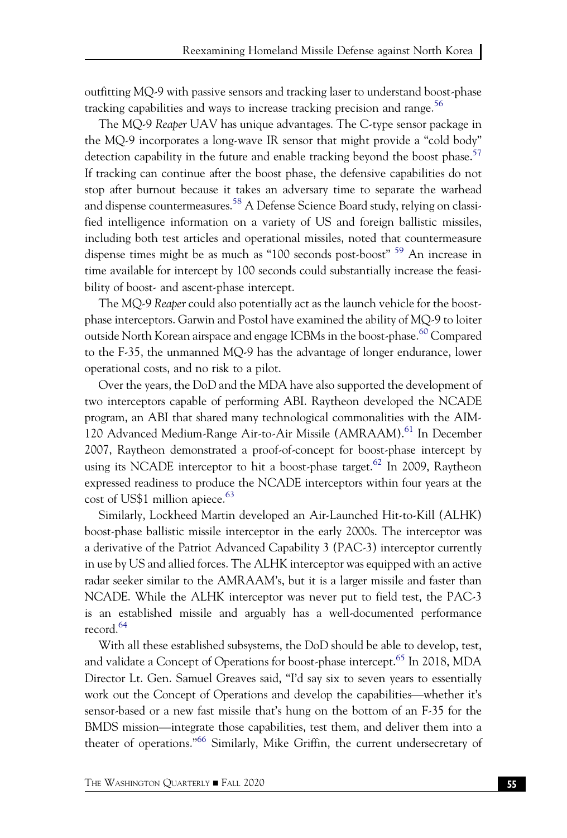outfitting MQ-9 with passive sensors and tracking laser to understand boost-phase tracking capabilities and ways to increase tracking precision and range.<sup>56</sup>

The MQ-9 Reaper UAV has unique advantages. The C-type sensor package in the MQ-9 incorporates a long-wave IR sensor that might provide a "cold body" detection capability in the future and enable tracking beyond the boost phase.<sup>57</sup> If tracking can continue after the boost phase, the defensive capabilities do not stop after burnout because it takes an adversary time to separate the warhead and dispense countermeasures.<sup>58</sup> A Defense Science Board study, relying on classified intelligence information on a variety of US and foreign ballistic missiles, including both test articles and operational missiles, noted that countermeasure dispense times might be as much as "100 seconds post-boost" [59](#page-15-0) An increase in time available for intercept by 100 seconds could substantially increase the feasibility of boost- and ascent-phase intercept.

The MQ-9 Reaper could also potentially act as the launch vehicle for the boostphase interceptors. Garwin and Postol have examined the ability of MQ-9 to loiter outside North Korean airspace and engage ICBMs in the boost-phase.<sup>[60](#page-15-0)</sup> Compared to the F-35, the unmanned MQ-9 has the advantage of longer endurance, lower operational costs, and no risk to a pilot.

Over the years, the DoD and the MDA have also supported the development of two interceptors capable of performing ABI. Raytheon developed the NCADE program, an ABI that shared many technological commonalities with the AIM-120 Advanced Medium-Range Air-to-Air Missile (AMRAAM).<sup>[61](#page-15-0)</sup> In December 2007, Raytheon demonstrated a proof-of-concept for boost-phase intercept by using its NCADE interceptor to hit a boost-phase target.<sup>[62](#page-15-0)</sup> In 2009, Raytheon expressed readiness to produce the NCADE interceptors within four years at the cost of US\$1 million apiece. $^{63}$  $^{63}$  $^{63}$ 

Similarly, Lockheed Martin developed an Air-Launched Hit-to-Kill (ALHK) boost-phase ballistic missile interceptor in the early 2000s. The interceptor was a derivative of the Patriot Advanced Capability 3 (PAC-3) interceptor currently in use by US and allied forces. The ALHK interceptor was equipped with an active radar seeker similar to the AMRAAM's, but it is a larger missile and faster than NCADE. While the ALHK interceptor was never put to field test, the PAC-3 is an established missile and arguably has a well-documented performance record.<sup>[64](#page-15-0)</sup>

With all these established subsystems, the DoD should be able to develop, test, and validate a Concept of Operations for boost-phase intercept.<sup>[65](#page-15-0)</sup> In 2018, MDA Director Lt. Gen. Samuel Greaves said, "I'd say six to seven years to essentially work out the Concept of Operations and develop the capabilities—whether it's sensor-based or a new fast missile that's hung on the bottom of an F-35 for the BMDS mission—integrate those capabilities, test them, and deliver them into a theater of operations."<sup>[66](#page-15-0)</sup> Similarly, Mike Griffin, the current undersecretary of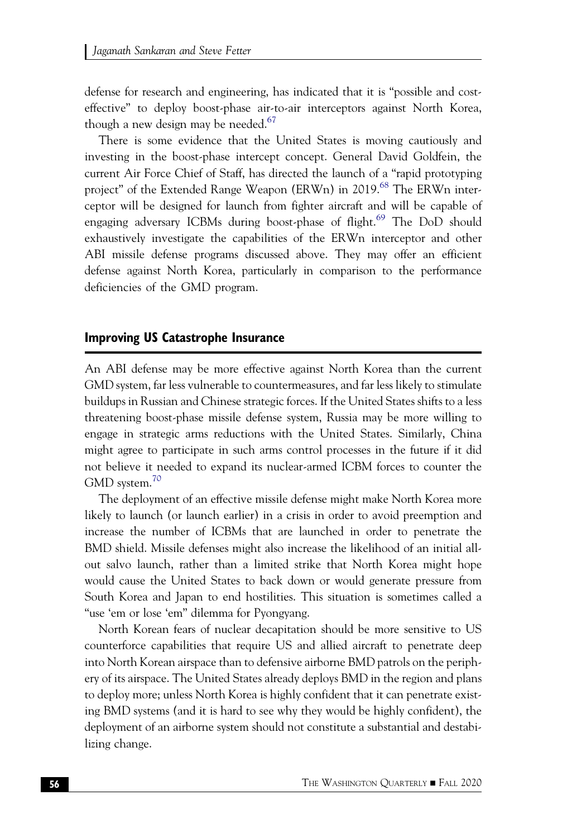defense for research and engineering, has indicated that it is "possible and costeffective" to deploy boost-phase air-to-air interceptors against North Korea, though a new design may be needed.<sup>[67](#page-15-0)</sup>

There is some evidence that the United States is moving cautiously and investing in the boost-phase intercept concept. General David Goldfein, the current Air Force Chief of Staff, has directed the launch of a "rapid prototyping project" of the Extended Range Weapon (ERWn) in 2019.<sup>[68](#page-15-0)</sup> The ERWn interceptor will be designed for launch from fighter aircraft and will be capable of engaging adversary ICBMs during boost-phase of flight.<sup>[69](#page-16-0)</sup> The DoD should exhaustively investigate the capabilities of the ERWn interceptor and other ABI missile defense programs discussed above. They may offer an efficient defense against North Korea, particularly in comparison to the performance deficiencies of the GMD program.

## Improving US Catastrophe Insurance

An ABI defense may be more effective against North Korea than the current GMD system, far less vulnerable to countermeasures, and far less likely to stimulate buildups in Russian and Chinese strategic forces. If the United States shifts to a less threatening boost-phase missile defense system, Russia may be more willing to engage in strategic arms reductions with the United States. Similarly, China might agree to participate in such arms control processes in the future if it did not believe it needed to expand its nuclear-armed ICBM forces to counter the GMD system.<sup>[70](#page-16-0)</sup>

The deployment of an effective missile defense might make North Korea more likely to launch (or launch earlier) in a crisis in order to avoid preemption and increase the number of ICBMs that are launched in order to penetrate the BMD shield. Missile defenses might also increase the likelihood of an initial allout salvo launch, rather than a limited strike that North Korea might hope would cause the United States to back down or would generate pressure from South Korea and Japan to end hostilities. This situation is sometimes called a "use 'em or lose 'em" dilemma for Pyongyang.

North Korean fears of nuclear decapitation should be more sensitive to US counterforce capabilities that require US and allied aircraft to penetrate deep into North Korean airspace than to defensive airborne BMD patrols on the periphery of its airspace. The United States already deploys BMD in the region and plans to deploy more; unless North Korea is highly confident that it can penetrate existing BMD systems (and it is hard to see why they would be highly confident), the deployment of an airborne system should not constitute a substantial and destabilizing change.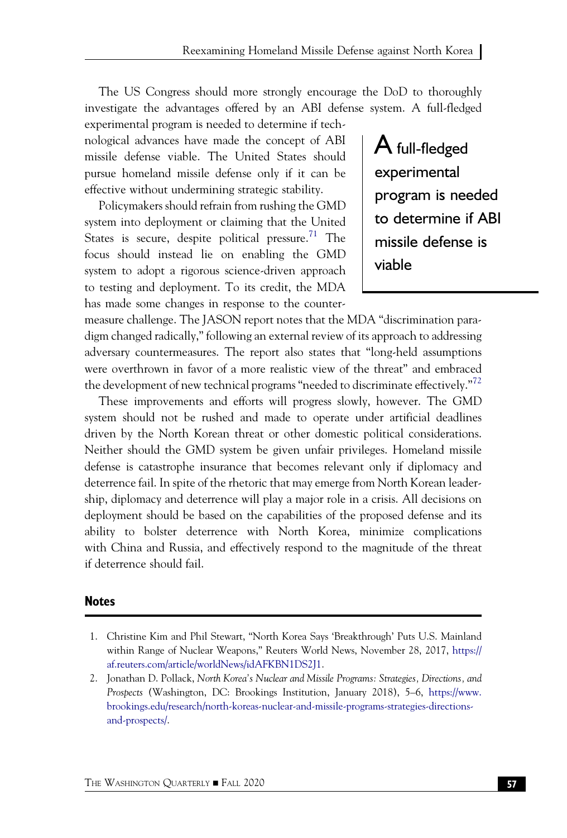<span id="page-11-0"></span>The US Congress should more strongly encourage the DoD to thoroughly investigate the advantages offered by an ABI defense system. A full-fledged

experimental program is needed to determine if technological advances have made the concept of ABI missile defense viable. The United States should pursue homeland missile defense only if it can be effective without undermining strategic stability.

Policymakers should refrain from rushing the GMD system into deployment or claiming that the United States is secure, despite political pressure.<sup>71</sup> The focus should instead lie on enabling the GMD system to adopt a rigorous science-driven approach to testing and deployment. To its credit, the MDA has made some changes in response to the counterA full-fledged experimental program is needed to determine if ABI missile defense is viable

measure challenge. The JASON report notes that the MDA "discrimination paradigm changed radically," following an external review of its approach to addressing adversary countermeasures. The report also states that "long-held assumptions were overthrown in favor of a more realistic view of the threat" and embraced the development of new technical programs "needed to discriminate effectively."<sup>[72](#page-16-0)</sup>

These improvements and efforts will progress slowly, however. The GMD system should not be rushed and made to operate under artificial deadlines driven by the North Korean threat or other domestic political considerations. Neither should the GMD system be given unfair privileges. Homeland missile defense is catastrophe insurance that becomes relevant only if diplomacy and deterrence fail. In spite of the rhetoric that may emerge from North Korean leadership, diplomacy and deterrence will play a major role in a crisis. All decisions on deployment should be based on the capabilities of the proposed defense and its ability to bolster deterrence with North Korea, minimize complications with China and Russia, and effectively respond to the magnitude of the threat if deterrence should fail.

## **Notes**

<sup>1.</sup> Christine Kim and Phil Stewart, "North Korea Says 'Breakthrough' Puts U.S. Mainland within Range of Nuclear Weapons," Reuters World News, November 28, 2017, [https://](https://af.reuters.com/article/worldNews/idAFKBN1DS2J1) [af.reuters.com/article/worldNews/idAFKBN1DS2J1.](https://af.reuters.com/article/worldNews/idAFKBN1DS2J1)

<sup>2.</sup> Jonathan D. Pollack, North Korea's Nuclear and Missile Programs: Strategies, Directions, and Prospects (Washington, DC: Brookings Institution, January 2018), 5–6, [https://www.](https://www.brookings.edu/research/north-koreas-nuclear-and-missile-programs-strategies-directions-and-prospects/) [brookings.edu/research/north-koreas-nuclear-and-missile-programs-strategies-directions](https://www.brookings.edu/research/north-koreas-nuclear-and-missile-programs-strategies-directions-and-prospects/)[and-prospects/.](https://www.brookings.edu/research/north-koreas-nuclear-and-missile-programs-strategies-directions-and-prospects/)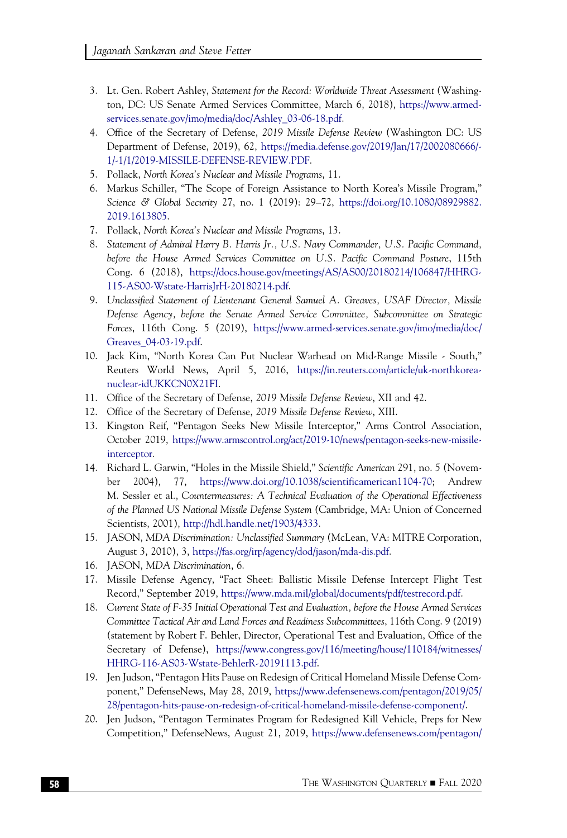- <span id="page-12-0"></span>3. Lt. Gen. Robert Ashley, Statement for the Record: Worldwide Threat Assessment (Washington, DC: US Senate Armed Services Committee, March 6, 2018), [https://www.armed](https://www.armed-services.senate.gov/imo/media/doc/Ashley_03-06-18.pdf)[services.senate.gov/imo/media/doc/Ashley\\_03-06-18.pdf.](https://www.armed-services.senate.gov/imo/media/doc/Ashley_03-06-18.pdf)
- 4. Office of the Secretary of Defense, 2019 Missile Defense Review (Washington DC: US Department of Defense, 2019), 62, [https://media.defense.gov/2019/Jan/17/2002080666/-](https://media.defense.gov/2019/Jan/17/2002080666/-1/-1/1/2019-MISSILE-DEFENSE-REVIEW.PDF) [1/-1/1/2019-MISSILE-DEFENSE-REVIEW.PDF](https://media.defense.gov/2019/Jan/17/2002080666/-1/-1/1/2019-MISSILE-DEFENSE-REVIEW.PDF).
- 5. Pollack, North Korea's Nuclear and Missile Programs, 11.
- 6. Markus Schiller, "The Scope of Foreign Assistance to North Korea's Missile Program," Science & Global Security 27, no. 1 (2019): 29–72, [https://doi.org/10.1080/08929882.](https://doi.org/10.1080/08929882.2019.1613805) [2019.1613805.](https://doi.org/10.1080/08929882.2019.1613805)
- 7. Pollack, North Korea's Nuclear and Missile Programs, 13.
- 8. Statement of Admiral Harry B. Harris Jr., U.S. Navy Commander, U.S. Pacific Command, before the House Armed Services Committee on U.S. Pacific Command Posture, 115th Cong. 6 (2018), [https://docs.house.gov/meetings/AS/AS00/20180214/106847/HHRG-](https://docs.house.gov/meetings/AS/AS00/20180214/106847/HHRG-115-AS00-Wstate-HarrisJrH-20180214.pdf)[115-AS00-Wstate-HarrisJrH-20180214.pdf.](https://docs.house.gov/meetings/AS/AS00/20180214/106847/HHRG-115-AS00-Wstate-HarrisJrH-20180214.pdf)
- 9. Unclassified Statement of Lieutenant General Samuel A. Greaves, USAF Director, Missile Defense Agency, before the Senate Armed Service Committee, Subcommittee on Strategic Forces, 116th Cong. 5 (2019), [https://www.armed-services.senate.gov/imo/media/doc/](https://www.armed-services.senate.gov/imo/media/doc/Greaves_04-03-19.pdf) [Greaves\\_04-03-19.pdf](https://www.armed-services.senate.gov/imo/media/doc/Greaves_04-03-19.pdf).
- 10. Jack Kim, "North Korea Can Put Nuclear Warhead on Mid-Range Missile South," Reuters World News, April 5, 2016, [https://in.reuters.com/article/uk-northkorea](https://in.reuters.com/article/uk-northkorea-nuclear-idUKKCN0X21FI)[nuclear-idUKKCN0X21FI.](https://in.reuters.com/article/uk-northkorea-nuclear-idUKKCN0X21FI)
- 11. Office of the Secretary of Defense, 2019 Missile Defense Review, XII and 42.
- 12. Office of the Secretary of Defense, 2019 Missile Defense Review, XIII.
- 13. Kingston Reif, "Pentagon Seeks New Missile Interceptor," Arms Control Association, October 2019, [https://www.armscontrol.org/act/2019-10/news/pentagon-seeks-new-missile](https://www.armscontrol.org/act/2019-10/news/pentagon-seeks-new-missile-interceptor)[interceptor.](https://www.armscontrol.org/act/2019-10/news/pentagon-seeks-new-missile-interceptor)
- 14. Richard L. Garwin, "Holes in the Missile Shield," Scientific American 291, no. 5 (November 2004), 77, [https://www.doi.org/10.1038/scientificamerican1104-70;](https://www.doi.org/10.1038/scientificamerican1104-70) Andrew M. Sessler et al., Countermeasures: A Technical Evaluation of the Operational Effectiveness of the Planned US National Missile Defense System (Cambridge, MA: Union of Concerned Scientists, 2001), [http://hdl.handle.net/1903/4333.](http://hdl.handle.net/1903/4333)
- 15. JASON, MDA Discrimination: Unclassified Summary (McLean, VA: MITRE Corporation, August 3, 2010), 3, <https://fas.org/irp/agency/dod/jason/mda-dis.pdf>.
- 16. JASON, MDA Discrimination, 6.
- 17. Missile Defense Agency, "Fact Sheet: Ballistic Missile Defense Intercept Flight Test Record," September 2019, <https://www.mda.mil/global/documents/pdf/testrecord.pdf>.
- 18. Current State of F-35 Initial Operational Test and Evaluation, before the House Armed Services Committee Tactical Air and Land Forces and Readiness Subcommittees, 116th Cong. 9 (2019) (statement by Robert F. Behler, Director, Operational Test and Evaluation, Office of the Secretary of Defense), [https://www.congress.gov/116/meeting/house/110184/witnesses/](https://www.congress.gov/116/meeting/house/110184/witnesses/HHRG-116-AS03-Wstate-BehlerR-20191113.pdf) [HHRG-116-AS03-Wstate-BehlerR-20191113.pdf.](https://www.congress.gov/116/meeting/house/110184/witnesses/HHRG-116-AS03-Wstate-BehlerR-20191113.pdf)
- 19. Jen Judson, "Pentagon Hits Pause on Redesign of Critical Homeland Missile Defense Component," DefenseNews, May 28, 2019, [https://www.defensenews.com/pentagon/2019/05/](https://www.defensenews.com/pentagon/2019/05/28/pentagon-hits-pause-on-redesign-of-critical-homeland-missile-defense-component/) [28/pentagon-hits-pause-on-redesign-of-critical-homeland-missile-defense-component/](https://www.defensenews.com/pentagon/2019/05/28/pentagon-hits-pause-on-redesign-of-critical-homeland-missile-defense-component/).
- 20. Jen Judson, "Pentagon Terminates Program for Redesigned Kill Vehicle, Preps for New Competition," DefenseNews, August 21, 2019, [https://www.defensenews.com/pentagon/](https://www.defensenews.com/pentagon/2019/08/21/dod-tanks-redesigned-kill-vehicle-program-for-homeland-defense-interceptor/)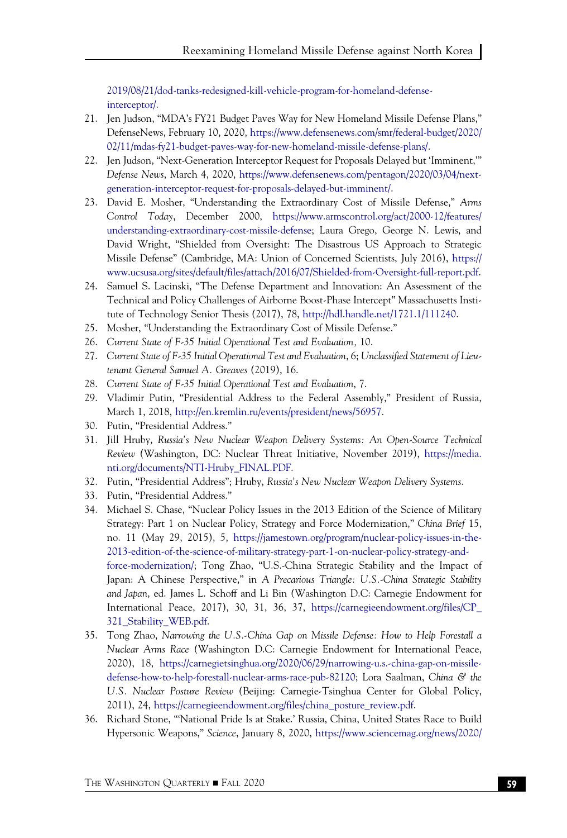<span id="page-13-0"></span>[2019/08/21/dod-tanks-redesigned-kill-vehicle-program-for-homeland-defense](https://www.defensenews.com/pentagon/2019/08/21/dod-tanks-redesigned-kill-vehicle-program-for-homeland-defense-interceptor/)[interceptor/](https://www.defensenews.com/pentagon/2019/08/21/dod-tanks-redesigned-kill-vehicle-program-for-homeland-defense-interceptor/).

- 21. Jen Judson, "MDA's FY21 Budget Paves Way for New Homeland Missile Defense Plans," DefenseNews, February 10, 2020, [https://www.defensenews.com/smr/federal-budget/2020/](https://www.defensenews.com/smr/federal-budget/2020/02/11/mdas-fy21-budget-paves-way-for-new-homeland-missile-defense-plans/) [02/11/mdas-fy21-budget-paves-way-for-new-homeland-missile-defense-plans/](https://www.defensenews.com/smr/federal-budget/2020/02/11/mdas-fy21-budget-paves-way-for-new-homeland-missile-defense-plans/).
- 22. Jen Judson, "Next-Generation Interceptor Request for Proposals Delayed but 'Imminent,'" Defense News, March 4, 2020, [https://www.defensenews.com/pentagon/2020/03/04/next](https://www.defensenews.com/pentagon/2020/03/04/next-generation-interceptor-request-for-proposals-delayed-but-imminent/)[generation-interceptor-request-for-proposals-delayed-but-imminent/](https://www.defensenews.com/pentagon/2020/03/04/next-generation-interceptor-request-for-proposals-delayed-but-imminent/).
- 23. David E. Mosher, "Understanding the Extraordinary Cost of Missile Defense," Arms Control Today, December 2000, [https://www.armscontrol.org/act/2000-12/features/](https://www.armscontrol.org/act/2000-12/features/understanding-extraordinary-cost-missile-defense) [understanding-extraordinary-cost-missile-defense](https://www.armscontrol.org/act/2000-12/features/understanding-extraordinary-cost-missile-defense); Laura Grego, George N. Lewis, and David Wright, "Shielded from Oversight: The Disastrous US Approach to Strategic Missile Defense" (Cambridge, MA: Union of Concerned Scientists, July 2016), [https://](https://www.ucsusa.org/sites/default/files/attach/2016/07/Shielded-from-Oversight-full-report.pdf) [www.ucsusa.org/sites/default/files/attach/2016/07/Shielded-from-Oversight-full-report.pdf.](https://www.ucsusa.org/sites/default/files/attach/2016/07/Shielded-from-Oversight-full-report.pdf)
- 24. Samuel S. Lacinski, "The Defense Department and Innovation: An Assessment of the Technical and Policy Challenges of Airborne Boost-Phase Intercept" Massachusetts Institute of Technology Senior Thesis (2017), 78, <http://hdl.handle.net/1721.1/111240>.
- 25. Mosher, "Understanding the Extraordinary Cost of Missile Defense."
- 26. Current State of F-35 Initial Operational Test and Evaluation, 10.
- 27. Current State of F-35 Initial Operational Test and Evaluation, 6; Unclassified Statement of Lieutenant General Samuel A. Greaves (2019), 16.
- 28. Current State of F-35 Initial Operational Test and Evaluation, 7.
- 29. Vladimir Putin, "Presidential Address to the Federal Assembly," President of Russia, March 1, 2018, <http://en.kremlin.ru/events/president/news/56957>.
- 30. Putin, "Presidential Address."
- 31. Jill Hruby, Russia's New Nuclear Weapon Delivery Systems: An Open-Source Technical Review (Washington, DC: Nuclear Threat Initiative, November 2019), [https://media.](https://media.nti.org/documents/NTI-Hruby_FINAL.PDF) [nti.org/documents/NTI-Hruby\\_FINAL.PDF](https://media.nti.org/documents/NTI-Hruby_FINAL.PDF).
- 32. Putin, "Presidential Address"; Hruby, Russia's New Nuclear Weapon Delivery Systems.
- 33. Putin, "Presidential Address."
- 34. Michael S. Chase, "Nuclear Policy Issues in the 2013 Edition of the Science of Military Strategy: Part 1 on Nuclear Policy, Strategy and Force Modernization," China Brief 15, no. 11 (May 29, 2015), 5, [https://jamestown.org/program/nuclear-policy-issues-in-the-](https://jamestown.org/program/nuclear-policy-issues-in-the-2013-edition-of-the-science-of-military-strategy-part-1-on-nuclear-policy-strategy-and-force-modernization/)[2013-edition-of-the-science-of-military-strategy-part-1-on-nuclear-policy-strategy-and](https://jamestown.org/program/nuclear-policy-issues-in-the-2013-edition-of-the-science-of-military-strategy-part-1-on-nuclear-policy-strategy-and-force-modernization/)[force-modernization/;](https://jamestown.org/program/nuclear-policy-issues-in-the-2013-edition-of-the-science-of-military-strategy-part-1-on-nuclear-policy-strategy-and-force-modernization/) Tong Zhao, "U.S.-China Strategic Stability and the Impact of Japan: A Chinese Perspective," in A Precarious Triangle: U.S.-China Strategic Stability and Japan, ed. James L. Schoff and Li Bin (Washington D.C: Carnegie Endowment for International Peace, 2017), 30, 31, 36, 37, [https://carnegieendowment.org/files/CP\\_](https://carnegieendowment.org/files/CP_321_Stability_WEB.pdf) 321 Stability WEB.pdf.
- 35. Tong Zhao, Narrowing the U.S.-China Gap on Missile Defense: How to Help Forestall a Nuclear Arms Race (Washington D.C: Carnegie Endowment for International Peace, 2020), 18, [https://carnegietsinghua.org/2020/06/29/narrowing-u.s.-china-gap-on-missile](https://carnegietsinghua.org/2020/06/29/narrowing-u.s.-china-gap-on-missile-defense-how-to-help-forestall-nuclear-arms-race-pub-82120)[defense-how-to-help-forestall-nuclear-arms-race-pub-82120;](https://carnegietsinghua.org/2020/06/29/narrowing-u.s.-china-gap-on-missile-defense-how-to-help-forestall-nuclear-arms-race-pub-82120) Lora Saalman, China & the U.S. Nuclear Posture Review (Beijing: Carnegie-Tsinghua Center for Global Policy, 2011), 24, [https://carnegieendowment.org/files/china\\_posture\\_review.pdf.](https://carnegieendowment.org/files/china_posture_review.pdf)
- 36. Richard Stone, "'National Pride Is at Stake.' Russia, China, United States Race to Build Hypersonic Weapons," Science, January 8, 2020, [https://www.sciencemag.org/news/2020/](https://www.sciencemag.org/news/2020/01/national-pride-stake-russia-china-united-states-race-build-hypersonic-weapons)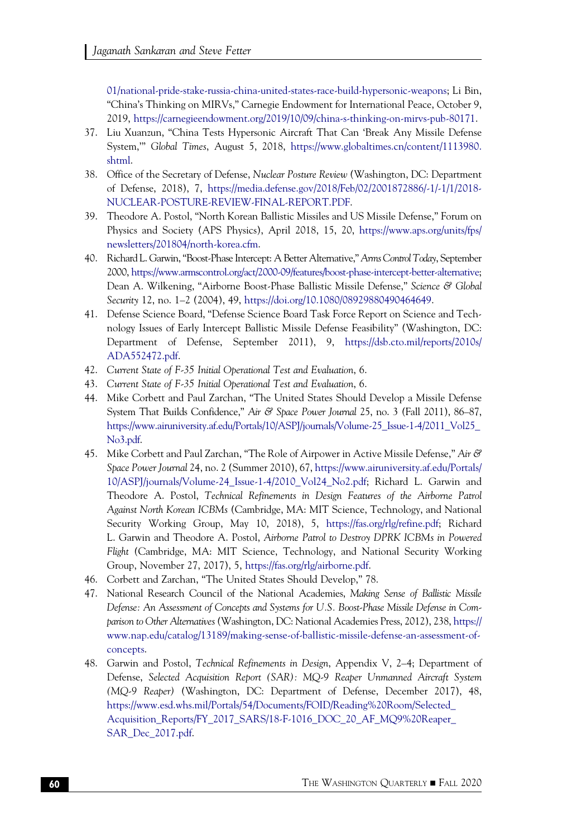<span id="page-14-0"></span>[01/national-pride-stake-russia-china-united-states-race-build-hypersonic-weapons](https://www.sciencemag.org/news/2020/01/national-pride-stake-russia-china-united-states-race-build-hypersonic-weapons); Li Bin, "China's Thinking on MIRVs," Carnegie Endowment for International Peace, October 9, 2019, [https://carnegieendowment.org/2019/10/09/china-s-thinking-on-mirvs-pub-80171.](https://carnegieendowment.org/2019/10/09/china-s-thinking-on-mirvs-pub-80171)

- 37. Liu Xuanzun, "China Tests Hypersonic Aircraft That Can 'Break Any Missile Defense System,'" Global Times, August 5, 2018, [https://www.globaltimes.cn/content/1113980.](https://www.globaltimes.cn/content/1113980.shtml) [shtml](https://www.globaltimes.cn/content/1113980.shtml).
- 38. Office of the Secretary of Defense, Nuclear Posture Review (Washington, DC: Department of Defense, 2018), 7, [https://media.defense.gov/2018/Feb/02/2001872886/-1/-1/1/2018-](https://media.defense.gov/2018/Feb/02/2001872886/-1/-1/1/2018-NUCLEAR-POSTURE-REVIEW-FINAL-REPORT.PDF) [NUCLEAR-POSTURE-REVIEW-FINAL-REPORT.PDF](https://media.defense.gov/2018/Feb/02/2001872886/-1/-1/1/2018-NUCLEAR-POSTURE-REVIEW-FINAL-REPORT.PDF).
- 39. Theodore A. Postol, "North Korean Ballistic Missiles and US Missile Defense," Forum on Physics and Society (APS Physics), April 2018, 15, 20, [https://www.aps.org/units/fps/](https://www.aps.org/units/fps/newsletters/201804/north-korea.cfm) [newsletters/201804/north-korea.cfm.](https://www.aps.org/units/fps/newsletters/201804/north-korea.cfm)
- 40. Richard L. Garwin,"Boost-Phase Intercept: A Better Alternative," Arms Control Today, September 2000, <https://www.armscontrol.org/act/2000-09/features/boost-phase-intercept-better-alternative>; Dean A. Wilkening, "Airborne Boost-Phase Ballistic Missile Defense," Science & Global Security 12, no. 1–2 (2004), 49, <https://doi.org/10.1080/08929880490464649>.
- 41. Defense Science Board, "Defense Science Board Task Force Report on Science and Technology Issues of Early Intercept Ballistic Missile Defense Feasibility" (Washington, DC: Department of Defense, September 2011), 9, [https://dsb.cto.mil/reports/2010s/](https://dsb.cto.mil/reports/2010s/ADA552472.pdf) [ADA552472.pdf](https://dsb.cto.mil/reports/2010s/ADA552472.pdf).
- 42. Current State of F-35 Initial Operational Test and Evaluation, 6.
- 43. Current State of F-35 Initial Operational Test and Evaluation, 6.
- 44. Mike Corbett and Paul Zarchan, "The United States Should Develop a Missile Defense System That Builds Confidence," Air & Space Power Journal 25, no. 3 (Fall 2011), 86–87, [https://www.airuniversity.af.edu/Portals/10/ASPJ/journals/Volume-25\\_Issue-1-4/2011\\_Vol25\\_](https://www.airuniversity.af.edu/Portals/10/ASPJ/journals/Volume-25_Issue-1-4/2011_Vol25_No3.pdf) [No3.pdf](https://www.airuniversity.af.edu/Portals/10/ASPJ/journals/Volume-25_Issue-1-4/2011_Vol25_No3.pdf).
- 45. Mike Corbett and Paul Zarchan, "The Role of Airpower in Active Missile Defense," Air & Space Power Journal 24, no. 2 (Summer 2010), 67, [https://www.airuniversity.af.edu/Portals/](https://www.airuniversity.af.edu/Portals/10/ASPJ/journals/Volume-24_Issue-1-4/2010_Vol24_No2.pdf) [10/ASPJ/journals/Volume-24\\_Issue-1-4/2010\\_Vol24\\_No2.pdf](https://www.airuniversity.af.edu/Portals/10/ASPJ/journals/Volume-24_Issue-1-4/2010_Vol24_No2.pdf); Richard L. Garwin and Theodore A. Postol, Technical Refinements in Design Features of the Airborne Patrol Against North Korean ICBMs (Cambridge, MA: MIT Science, Technology, and National Security Working Group, May 10, 2018), 5, <https://fas.org/rlg/refine.pdf>; Richard L. Garwin and Theodore A. Postol, Airborne Patrol to Destroy DPRK ICBMs in Powered Flight (Cambridge, MA: MIT Science, Technology, and National Security Working Group, November 27, 2017), 5, [https://fas.org/rlg/airborne.pdf.](https://fas.org/rlg/airborne.pdf)
- 46. Corbett and Zarchan, "The United States Should Develop," 78.
- 47. National Research Council of the National Academies, Making Sense of Ballistic Missile Defense: An Assessment of Concepts and Systems for U.S. Boost-Phase Missile Defense in Comparison to Other Alternatives (Washington, DC: National Academies Press, 2012), 238, [https://](https://www.nap.edu/catalog/13189/making-sense-of-ballistic-missile-defense-an-assessment-of-concepts) [www.nap.edu/catalog/13189/making-sense-of-ballistic-missile-defense-an-assessment-of](https://www.nap.edu/catalog/13189/making-sense-of-ballistic-missile-defense-an-assessment-of-concepts)[concepts](https://www.nap.edu/catalog/13189/making-sense-of-ballistic-missile-defense-an-assessment-of-concepts).
- 48. Garwin and Postol, Technical Refinements in Design, Appendix V, 2–4; Department of Defense, Selected Acquisition Report (SAR): MQ-9 Reaper Unmanned Aircraft System (MQ-9 Reaper) (Washington, DC: Department of Defense, December 2017), 48, [https://www.esd.whs.mil/Portals/54/Documents/FOID/Reading%20Room/Selected\\_](https://www.esd.whs.mil/Portals/54/Documents/FOID/Reading%20Room/Selected_Acquisition_Reports/FY_2017_SARS/18-F-1016_DOC_20_AF_MQ9%20Reaper_SAR_Dec_2017.pdf) [Acquisition\\_Reports/FY\\_2017\\_SARS/18-F-1016\\_DOC\\_20\\_AF\\_MQ9%20Reaper\\_](https://www.esd.whs.mil/Portals/54/Documents/FOID/Reading%20Room/Selected_Acquisition_Reports/FY_2017_SARS/18-F-1016_DOC_20_AF_MQ9%20Reaper_SAR_Dec_2017.pdf) [SAR\\_Dec\\_2017.pdf.](https://www.esd.whs.mil/Portals/54/Documents/FOID/Reading%20Room/Selected_Acquisition_Reports/FY_2017_SARS/18-F-1016_DOC_20_AF_MQ9%20Reaper_SAR_Dec_2017.pdf)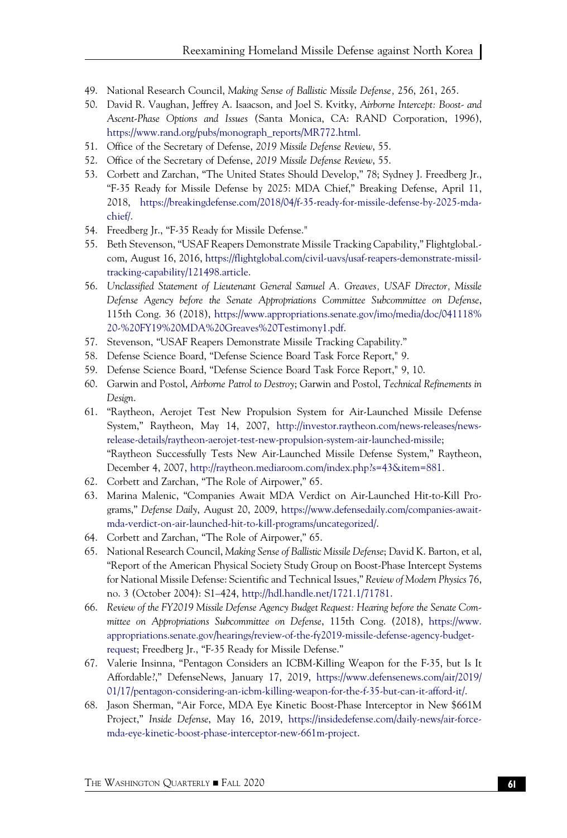- <span id="page-15-0"></span>49. National Research Council, Making Sense of Ballistic Missile Defense, 256, 261, 265.
- 50. David R. Vaughan, Jeffrey A. Isaacson, and Joel S. Kvitky, Airborne Intercept: Boost- and Ascent-Phase Options and Issues (Santa Monica, CA: RAND Corporation, 1996), [https://www.rand.org/pubs/monograph\\_reports/MR772.html](https://www.rand.org/pubs/monograph_reports/MR772.html).
- 51. Office of the Secretary of Defense, 2019 Missile Defense Review, 55.
- 52. Office of the Secretary of Defense, 2019 Missile Defense Review, 55.
- 53. Corbett and Zarchan, "The United States Should Develop," 78; Sydney J. Freedberg Jr., "F-35 Ready for Missile Defense by 2025: MDA Chief," Breaking Defense, April 11, 2018, [https://breakingdefense.com/2018/04/f-35-ready-for-missile-defense-by-2025-mda](https://breakingdefense.com/2018/04/f-35-ready-for-missile-defense-by-2025-mda-chief/)[chief/](https://breakingdefense.com/2018/04/f-35-ready-for-missile-defense-by-2025-mda-chief/).
- 54. Freedberg Jr., "F-35 Ready for Missile Defense."
- 55. Beth Stevenson, "USAF Reapers Demonstrate Missile Tracking Capability," Flightglobal. com, August 16, 2016, [https://flightglobal.com/civil-uavs/usaf-reapers-demonstrate-missil](https://flightglobal.com/civil-uavs/usaf-reapers-demonstrate-missil-tracking-capability/121498.article)[tracking-capability/121498.article.](https://flightglobal.com/civil-uavs/usaf-reapers-demonstrate-missil-tracking-capability/121498.article)
- 56. Unclassified Statement of Lieutenant General Samuel A. Greaves, USAF Director, Missile Defense Agency before the Senate Appropriations Committee Subcommittee on Defense, 115th Cong. 36 (2018), [https://www.appropriations.senate.gov/imo/media/doc/041118%](https://www.appropriations.senate.gov/imo/media/doc/041118%20-%20FY19%20MDA%20Greaves%20Testimony1.pdf) [20-%20FY19%20MDA%20Greaves%20Testimony1.pdf](https://www.appropriations.senate.gov/imo/media/doc/041118%20-%20FY19%20MDA%20Greaves%20Testimony1.pdf).
- 57. Stevenson, "USAF Reapers Demonstrate Missile Tracking Capability."
- 58. Defense Science Board, "Defense Science Board Task Force Report," 9.
- 59. Defense Science Board, "Defense Science Board Task Force Report," 9, 10.
- 60. Garwin and Postol, Airborne Patrol to Destroy; Garwin and Postol, Technical Refinements in Design.
- 61. "Raytheon, Aerojet Test New Propulsion System for Air-Launched Missile Defense System," Raytheon, May 14, 2007, [http://investor.raytheon.com/news-releases/news](http://investor.raytheon.com/news-releases/news-release-details/raytheon-aerojet-test-new-propulsion-system-air-launched-missile)[release-details/raytheon-aerojet-test-new-propulsion-system-air-launched-missile;](http://investor.raytheon.com/news-releases/news-release-details/raytheon-aerojet-test-new-propulsion-system-air-launched-missile) "Raytheon Successfully Tests New Air-Launched Missile Defense System," Raytheon, December 4, 2007, [http://raytheon.mediaroom.com/index.php?s=43&item=881](http://raytheon.mediaroom.com/index.php?s=43%26item=881).
- 62. Corbett and Zarchan, "The Role of Airpower," 65.
- 63. Marina Malenic, "Companies Await MDA Verdict on Air-Launched Hit-to-Kill Programs," Defense Daily, August 20, 2009, [https://www.defensedaily.com/companies-await](https://www.defensedaily.com/companies-await-mda-verdict-on-air-launched-hit-to-kill-programs/uncategorized/)[mda-verdict-on-air-launched-hit-to-kill-programs/uncategorized/.](https://www.defensedaily.com/companies-await-mda-verdict-on-air-launched-hit-to-kill-programs/uncategorized/)
- 64. Corbett and Zarchan, "The Role of Airpower," 65.
- 65. National Research Council, Making Sense of Ballistic Missile Defense; David K. Barton, et al, "Report of the American Physical Society Study Group on Boost-Phase Intercept Systems for National Missile Defense: Scientific and Technical Issues," Review of Modern Physics 76, no. 3 (October 2004): S1–424, [http://hdl.handle.net/1721.1/71781.](http://hdl.handle.net/1721.1/71781)
- 66. Review of the FY2019 Missile Defense Agency Budget Request: Hearing before the Senate Committee on Appropriations Subcommittee on Defense, 115th Cong. (2018), [https://www.](https://www.appropriations.senate.gov/hearings/review-of-the-fy2019-missile-defense-agency-budget-request) [appropriations.senate.gov/hearings/review-of-the-fy2019-missile-defense-agency-budget](https://www.appropriations.senate.gov/hearings/review-of-the-fy2019-missile-defense-agency-budget-request)[request;](https://www.appropriations.senate.gov/hearings/review-of-the-fy2019-missile-defense-agency-budget-request) Freedberg Jr., "F-35 Ready for Missile Defense."
- 67. Valerie Insinna, "Pentagon Considers an ICBM-Killing Weapon for the F-35, but Is It Affordable?," DefenseNews, January 17, 2019, [https://www.defensenews.com/air/2019/](https://www.defensenews.com/air/2019/01/17/pentagon-considering-an-icbm-killing-weapon-for-the-f-35-but-can-it-afford-it/) [01/17/pentagon-considering-an-icbm-killing-weapon-for-the-f-35-but-can-it-afford-it/.](https://www.defensenews.com/air/2019/01/17/pentagon-considering-an-icbm-killing-weapon-for-the-f-35-but-can-it-afford-it/)
- 68. Jason Sherman, "Air Force, MDA Eye Kinetic Boost-Phase Interceptor in New \$661M Project," Inside Defense, May 16, 2019, [https://insidedefense.com/daily-news/air-force](https://insidedefense.com/daily-news/air-force-mda-eye-kinetic-boost-phase-interceptor-new-661m-project)[mda-eye-kinetic-boost-phase-interceptor-new-661m-project](https://insidedefense.com/daily-news/air-force-mda-eye-kinetic-boost-phase-interceptor-new-661m-project).